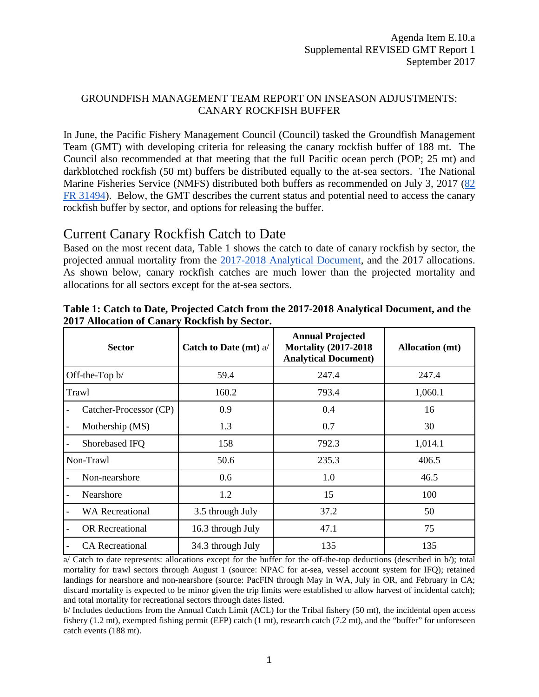## GROUNDFISH MANAGEMENT TEAM REPORT ON INSEASON ADJUSTMENTS: CANARY ROCKFISH BUFFER

In June, the Pacific Fishery Management Council (Council) tasked the Groundfish Management Team (GMT) with developing criteria for releasing the canary rockfish buffer of 188 mt. The Council also recommended at that meeting that the full Pacific ocean perch (POP; 25 mt) and darkblotched rockfish (50 mt) buffers be distributed equally to the at-sea sectors. The National Marine Fisheries Service (NMFS) distributed both buffers as recommended on July 3, 2017 [\(82](https://www.gpo.gov/fdsys/pkg/FR-2017-07-07/pdf/2017-14313.pdf)  [FR](https://www.gpo.gov/fdsys/pkg/FR-2017-07-07/pdf/2017-14313.pdf) [31494\)](https://www.gpo.gov/fdsys/pkg/FR-2017-07-07/pdf/2017-14313.pdf). Below, the GMT describes the current status and potential need to access the canary rockfish buffer by sector, and options for releasing the buffer.

# Current Canary Rockfish Catch to Date

Based on the most recent data, [Table](#page-0-0) 1 shows the catch to date of canary rockfish by sector, the projected annual mortality from the [2017-2018 Analytical Document,](http://www.pcouncil.org/wp-content/uploads/2016/09/17-18_Analytical_Document_Revised_Sept2016.pdf) and the 2017 allocations. As shown below, canary rockfish catches are much lower than the projected mortality and allocations for all sectors except for the at-sea sectors.

| <b>Sector</b>          | <b>Catch to Date (mt) a/</b> | <b>Annual Projected</b><br><b>Mortality (2017-2018)</b><br><b>Analytical Document)</b> | <b>Allocation</b> (mt) |  |  |
|------------------------|------------------------------|----------------------------------------------------------------------------------------|------------------------|--|--|
| Off-the-Top b/         | 59.4                         | 247.4                                                                                  | 247.4                  |  |  |
| Trawl                  | 160.2                        | 793.4                                                                                  | 1,060.1                |  |  |
| Catcher-Processor (CP) | 0.9                          | 0.4                                                                                    | 16                     |  |  |
| Mothership (MS)        | 1.3                          | 0.7                                                                                    | 30                     |  |  |
| Shorebased IFQ         | 158                          | 792.3                                                                                  | 1,014.1                |  |  |
| Non-Trawl              | 50.6                         | 235.3                                                                                  | 406.5                  |  |  |
| Non-nearshore          | 0.6                          | 1.0                                                                                    | 46.5                   |  |  |
| Nearshore              | 1.2                          | 15                                                                                     | 100                    |  |  |
| <b>WA Recreational</b> | 3.5 through July             | 37.2                                                                                   | 50                     |  |  |
| <b>OR</b> Recreational | 16.3 through July            | 47.1                                                                                   | 75                     |  |  |
| <b>CA</b> Recreational | 34.3 through July            | 135                                                                                    | 135                    |  |  |

<span id="page-0-0"></span>**Table 1: Catch to Date, Projected Catch from the 2017-2018 Analytical Document, and the 2017 Allocation of Canary Rockfish by Sector.**

a/ Catch to date represents: allocations except for the buffer for the off-the-top deductions (described in b/); total mortality for trawl sectors through August 1 (source: NPAC for at-sea, vessel account system for IFQ); retained landings for nearshore and non-nearshore (source: PacFIN through May in WA, July in OR, and February in CA; discard mortality is expected to be minor given the trip limits were established to allow harvest of incidental catch); and total mortality for recreational sectors through dates listed.

b/ Includes deductions from the Annual Catch Limit (ACL) for the Tribal fishery (50 mt), the incidental open access fishery (1.2 mt), exempted fishing permit (EFP) catch (1 mt), research catch (7.2 mt), and the "buffer" for unforeseen catch events (188 mt).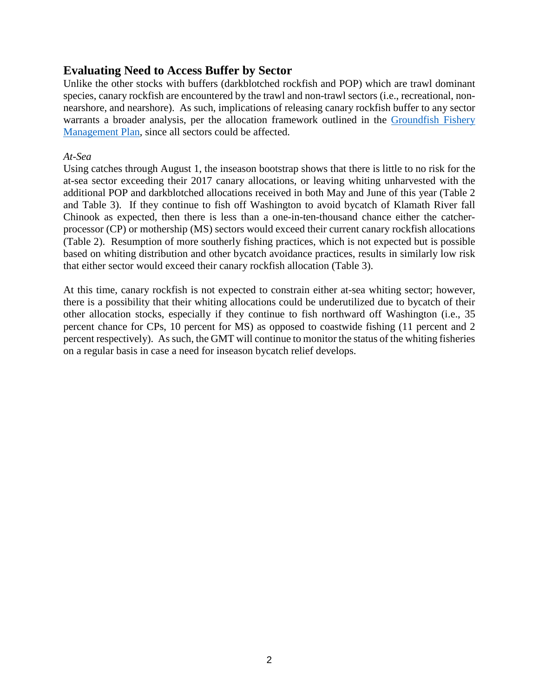## **Evaluating Need to Access Buffer by Sector**

Unlike the other stocks with buffers (darkblotched rockfish and POP) which are trawl dominant species, canary rockfish are encountered by the trawl and non-trawl sectors (i.e., recreational, nonnearshore, and nearshore). As such, implications of releasing canary rockfish buffer to any sector warrants a broader analysis, per the allocation framework outlined in the [Groundfish Fishery](http://www.pcouncil.org/wp-content/uploads/2017/03/GF_FMP_FinalThruA27-Aug2016.pdf)  [Management Plan,](http://www.pcouncil.org/wp-content/uploads/2017/03/GF_FMP_FinalThruA27-Aug2016.pdf) since all sectors could be affected.

#### *At-Sea*

Using catches through August 1, the inseason bootstrap shows that there is little to no risk for the at-sea sector exceeding their 2017 canary allocations, or leaving whiting unharvested with the additional POP and darkblotched allocations received in both May and June of this year [\(Table 2](#page-2-0) and [Table 3\)](#page-2-1). If they continue to fish off Washington to avoid bycatch of Klamath River fall Chinook as expected, then there is less than a one-in-ten-thousand chance either the catcherprocessor (CP) or mothership (MS) sectors would exceed their current canary rockfish allocations [\(Table 2\)](#page-2-0). Resumption of more southerly fishing practices, which is not expected but is possible based on whiting distribution and other bycatch avoidance practices, results in similarly low risk that either sector would exceed their canary rockfish allocation [\(Table 3\)](#page-2-1).

At this time, canary rockfish is not expected to constrain either at-sea whiting sector; however, there is a possibility that their whiting allocations could be underutilized due to bycatch of their other allocation stocks, especially if they continue to fish northward off Washington (i.e., 35 percent chance for CPs, 10 percent for MS) as opposed to coastwide fishing (11 percent and 2 percent respectively). As such, the GMT will continue to monitor the status of the whiting fisheries on a regular basis in case a need for inseason bycatch relief develops.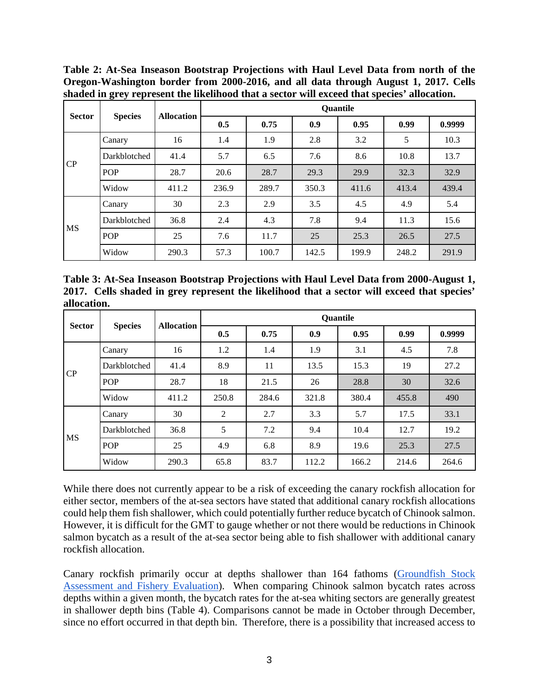<span id="page-2-0"></span>**Table 2: At-Sea Inseason Bootstrap Projections with Haul Level Data from north of the Oregon-Washington border from 2000-2016, and all data through August 1, 2017. Cells shaded in grey represent the likelihood that a sector will exceed that species' allocation.**

| <b>Sector</b> | <b>Species</b> | <b>Allocation</b> | <b>Quantile</b> |       |       |       |       |        |  |  |
|---------------|----------------|-------------------|-----------------|-------|-------|-------|-------|--------|--|--|
|               |                |                   | 0.5             | 0.75  | 0.9   | 0.95  | 0.99  | 0.9999 |  |  |
| CP            | Canary         | 16                | 1.4             | 1.9   | 2.8   | 3.2   | 5     | 10.3   |  |  |
|               | Darkblotched   | 41.4              | 5.7             | 6.5   | 7.6   | 8.6   | 10.8  | 13.7   |  |  |
|               | <b>POP</b>     | 28.7              | 20.6            | 28.7  | 29.3  | 29.9  | 32.3  | 32.9   |  |  |
|               | Widow          | 411.2             | 236.9           | 289.7 | 350.3 | 411.6 | 413.4 | 439.4  |  |  |
| <b>MS</b>     | Canary         | 30                | 2.3             | 2.9   | 3.5   | 4.5   | 4.9   | 5.4    |  |  |
|               | Darkblotched   | 36.8              | 2.4             | 4.3   | 7.8   | 9.4   | 11.3  | 15.6   |  |  |
|               | <b>POP</b>     | 25                | 7.6             | 11.7  | 25    | 25.3  | 26.5  | 27.5   |  |  |
|               | Widow          | 290.3             | 57.3            | 100.7 | 142.5 | 199.9 | 248.2 | 291.9  |  |  |

<span id="page-2-1"></span>**Table 3: At-Sea Inseason Bootstrap Projections with Haul Level Data from 2000-August 1, 2017. Cells shaded in grey represent the likelihood that a sector will exceed that species' allocation.**

| <b>Sector</b> | <b>Species</b> | <b>Allocation</b> | <b>Quantile</b> |       |       |       |       |        |  |  |
|---------------|----------------|-------------------|-----------------|-------|-------|-------|-------|--------|--|--|
|               |                |                   | 0.5             | 0.75  | 0.9   | 0.95  | 0.99  | 0.9999 |  |  |
| CP            | Canary         | 16                | 1.2             | 1.4   | 1.9   | 3.1   | 4.5   | 7.8    |  |  |
|               | Darkblotched   | 41.4              | 8.9             | 11    | 13.5  | 15.3  | 19    | 27.2   |  |  |
|               | <b>POP</b>     | 28.7              | 18              | 21.5  | 26    | 28.8  | 30    | 32.6   |  |  |
|               | Widow          | 411.2             | 250.8           | 284.6 | 321.8 | 380.4 | 455.8 | 490    |  |  |
| <b>MS</b>     | Canary         | 30                | $\overline{c}$  | 2.7   | 3.3   | 5.7   | 17.5  | 33.1   |  |  |
|               | Darkblotched   | 36.8              | 5               | 7.2   | 9.4   | 10.4  | 12.7  | 19.2   |  |  |
|               | <b>POP</b>     | 25                | 4.9             | 6.8   | 8.9   | 19.6  | 25.3  | 27.5   |  |  |
|               | Widow          | 290.3             | 65.8            | 83.7  | 112.2 | 166.2 | 214.6 | 264.6  |  |  |

While there does not currently appear to be a risk of exceeding the canary rockfish allocation for either sector, members of the at-sea sectors have stated that additional canary rockfish allocations could help them fish shallower, which could potentially further reduce bycatch of Chinook salmon. However, it is difficult for the GMT to gauge whether or not there would be reductions in Chinook salmon bycatch as a result of the at-sea sector being able to fish shallower with additional canary rockfish allocation.

Canary rockfish primarily occur at depths shallower than 164 fathoms [\(Groundfish Stock](http://www.pcouncil.org/wp-content/uploads/2017/02/SAFE_Dec2016_02_28_2017.pdf)  [Assessment and Fishery Ev](http://www.pcouncil.org/wp-content/uploads/2017/02/SAFE_Dec2016_02_28_2017.pdf)aluation). When comparing Chinook salmon bycatch rates across depths within a given month, the bycatch rates for the at-sea whiting sectors are generally greatest in shallower depth bins [\(Table 4\)](#page-3-0). Comparisons cannot be made in October through December, since no effort occurred in that depth bin. Therefore, there is a possibility that increased access to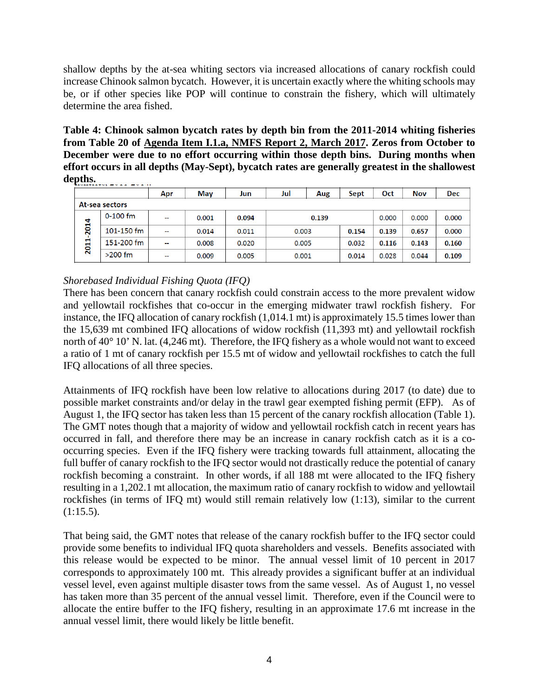shallow depths by the at-sea whiting sectors via increased allocations of canary rockfish could increase Chinook salmon bycatch. However, it is uncertain exactly where the whiting schools may be, or if other species like POP will continue to constrain the fishery, which will ultimately determine the area fished.

<span id="page-3-0"></span>**Table 4: Chinook salmon bycatch rates by depth bin from the 2011-2014 whiting fisheries from Table 20 of [Agenda Item I.1.a, NMFS Report 2, March 2017.](http://www.pcouncil.org/wp-content/uploads/2017/02/I1a_NMFS_Rpt2_Bycatch_Summary_FinalPublicVersion_2016Updated_Mar2017BB.pdf) Zeros from October to December were due to no effort occurring within those depth bins. During months when effort occurs in all depths (May-Sept), bycatch rates are generally greatest in the shallowest depths.**

|              |                | Apr            | <b>May</b> | Jun   | Jul            | Aug            | Sept  | Oct   | <b>Nov</b> | Dec   |
|--------------|----------------|----------------|------------|-------|----------------|----------------|-------|-------|------------|-------|
|              | At-sea sectors |                |            |       |                |                |       |       |            |       |
| 2014<br>2011 | $0 - 100$ fm   | $\sim$         | 0.001      | 0.094 | 0.139          |                | 0.000 | 0.000 | 0.000      |       |
|              | 101-150 fm     | $\sim$         | 0.014      | 0.011 | 0.003<br>0.154 |                | 0.139 | 0.657 | 0.000      |       |
|              | 151-200 fm     | $\overline{a}$ | 0.008      | 0.020 |                | 0.005<br>0.032 |       | 0.116 | 0.143      | 0.160 |
|              | $>200$ fm      | $\sim$         | 0.009      | 0.005 | 0.001          |                | 0.014 | 0.028 | 0.044      | 0.109 |

### *Shorebased Individual Fishing Quota (IFQ)*

There has been concern that canary rockfish could constrain access to the more prevalent widow and yellowtail rockfishes that co-occur in the emerging midwater trawl rockfish fishery. For instance, the IFQ allocation of canary rockfish (1,014.1 mt) is approximately 15.5 times lower than the 15,639 mt combined IFQ allocations of widow rockfish (11,393 mt) and yellowtail rockfish north of 40° 10' N. lat. (4,246 mt). Therefore, the IFQ fishery as a whole would not want to exceed a ratio of 1 mt of canary rockfish per 15.5 mt of widow and yellowtail rockfishes to catch the full IFQ allocations of all three species.

Attainments of IFQ rockfish have been low relative to allocations during 2017 (to date) due to possible market constraints and/or delay in the trawl gear exempted fishing permit (EFP). As of August 1, the IFQ sector has taken less than 15 percent of the canary rockfish allocation [\(Table 1\)](#page-0-0). The GMT notes though that a majority of widow and yellowtail rockfish catch in recent years has occurred in fall, and therefore there may be an increase in canary rockfish catch as it is a cooccurring species. Even if the IFQ fishery were tracking towards full attainment, allocating the full buffer of canary rockfish to the IFQ sector would not drastically reduce the potential of canary rockfish becoming a constraint. In other words, if all 188 mt were allocated to the IFQ fishery resulting in a 1,202.1 mt allocation, the maximum ratio of canary rockfish to widow and yellowtail rockfishes (in terms of IFQ mt) would still remain relatively low (1:13), similar to the current  $(1:15.5)$ .

That being said, the GMT notes that release of the canary rockfish buffer to the IFQ sector could provide some benefits to individual IFQ quota shareholders and vessels. Benefits associated with this release would be expected to be minor. The annual vessel limit of 10 percent in 2017 corresponds to approximately 100 mt. This already provides a significant buffer at an individual vessel level, even against multiple disaster tows from the same vessel. As of August 1, no vessel has taken more than 35 percent of the annual vessel limit. Therefore, even if the Council were to allocate the entire buffer to the IFQ fishery, resulting in an approximate 17.6 mt increase in the annual vessel limit, there would likely be little benefit.